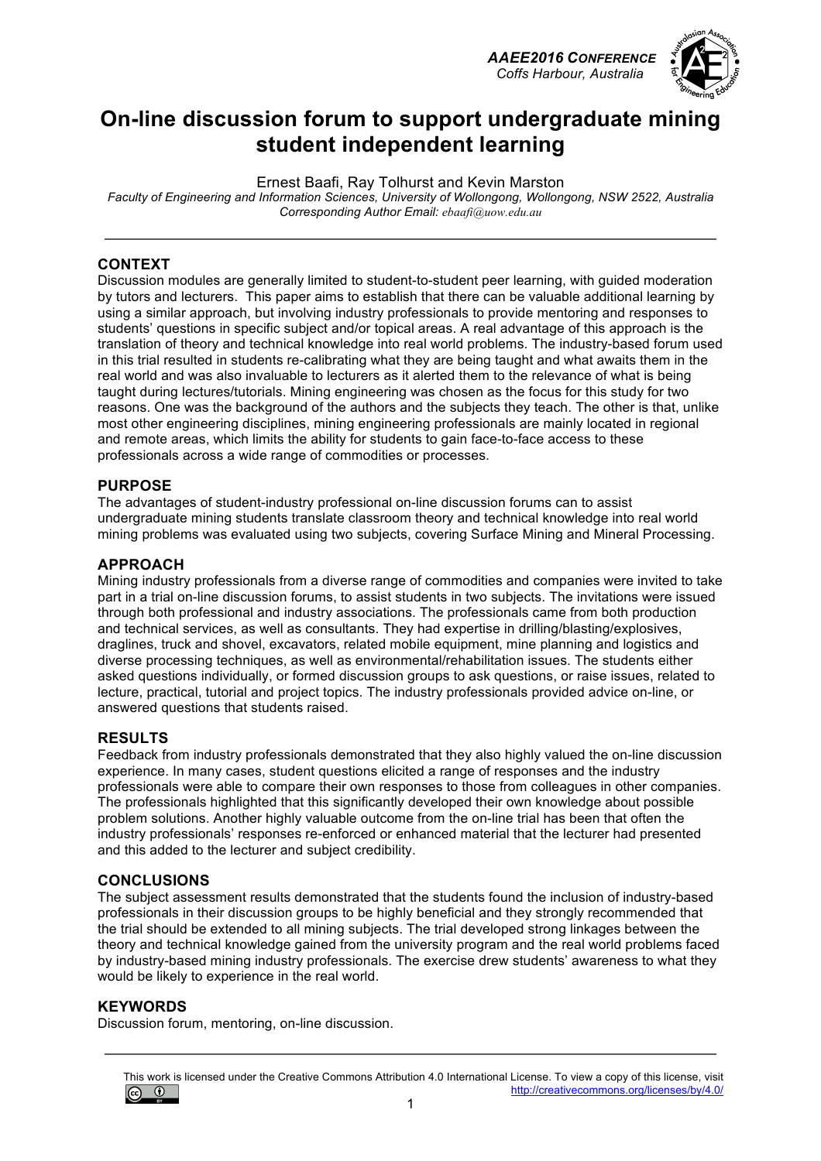*AAEE2016 CONFERENCE Coffs Harbour, Australia*



### **On-line discussion forum to support undergraduate mining student independent learning**

Ernest Baafi, Ray Tolhurst and Kevin Marston

*Faculty of Engineering and Information Sciences, University of Wollongong, Wollongong, NSW 2522, Australia Corresponding Author Email: ebaafi@uow.edu.au*

### **CONTEXT**

Discussion modules are generally limited to student-to-student peer learning, with guided moderation by tutors and lecturers. This paper aims to establish that there can be valuable additional learning by using a similar approach, but involving industry professionals to provide mentoring and responses to students' questions in specific subject and/or topical areas. A real advantage of this approach is the translation of theory and technical knowledge into real world problems. The industry-based forum used in this trial resulted in students re-calibrating what they are being taught and what awaits them in the real world and was also invaluable to lecturers as it alerted them to the relevance of what is being taught during lectures/tutorials. Mining engineering was chosen as the focus for this study for two reasons. One was the background of the authors and the subjects they teach. The other is that, unlike most other engineering disciplines, mining engineering professionals are mainly located in regional and remote areas, which limits the ability for students to gain face-to-face access to these professionals across a wide range of commodities or processes.

### **PURPOSE**

The advantages of student-industry professional on-line discussion forums can to assist undergraduate mining students translate classroom theory and technical knowledge into real world mining problems was evaluated using two subjects, covering Surface Mining and Mineral Processing.

### **APPROACH**

Mining industry professionals from a diverse range of commodities and companies were invited to take part in a trial on-line discussion forums, to assist students in two subjects. The invitations were issued through both professional and industry associations. The professionals came from both production and technical services, as well as consultants. They had expertise in drilling/blasting/explosives, draglines, truck and shovel, excavators, related mobile equipment, mine planning and logistics and diverse processing techniques, as well as environmental/rehabilitation issues. The students either asked questions individually, or formed discussion groups to ask questions, or raise issues, related to lecture, practical, tutorial and project topics. The industry professionals provided advice on-line, or answered questions that students raised.

#### **RESULTS**

Feedback from industry professionals demonstrated that they also highly valued the on-line discussion experience. In many cases, student questions elicited a range of responses and the industry professionals were able to compare their own responses to those from colleagues in other companies. The professionals highlighted that this significantly developed their own knowledge about possible problem solutions. Another highly valuable outcome from the on-line trial has been that often the industry professionals' responses re-enforced or enhanced material that the lecturer had presented and this added to the lecturer and subject credibility.

#### **CONCLUSIONS**

The subject assessment results demonstrated that the students found the inclusion of industry-based professionals in their discussion groups to be highly beneficial and they strongly recommended that the trial should be extended to all mining subjects. The trial developed strong linkages between the theory and technical knowledge gained from the university program and the real world problems faced by industry-based mining industry professionals. The exercise drew students' awareness to what they would be likely to experience in the real world.

#### **KEYWORDS**

Discussion forum, mentoring, on-line discussion.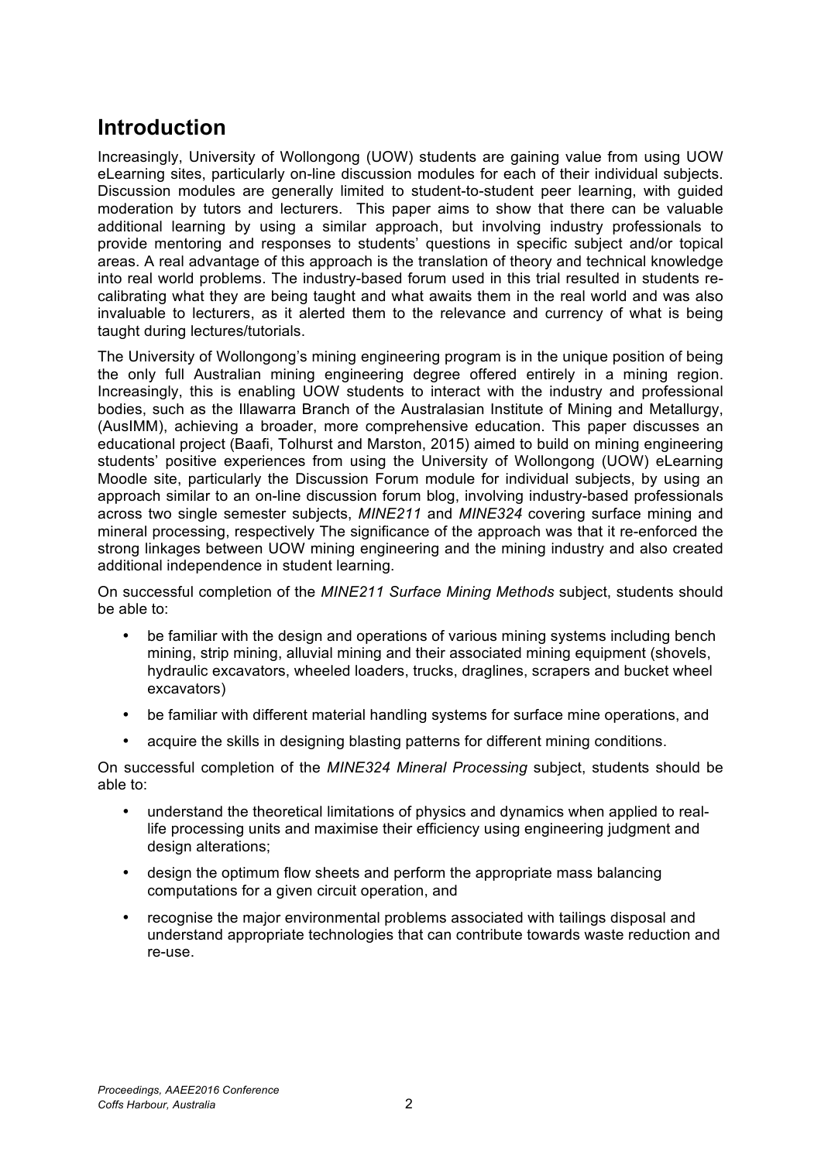## **Introduction**

Increasingly, University of Wollongong (UOW) students are gaining value from using UOW eLearning sites, particularly on-line discussion modules for each of their individual subjects. Discussion modules are generally limited to student-to-student peer learning, with guided moderation by tutors and lecturers. This paper aims to show that there can be valuable additional learning by using a similar approach, but involving industry professionals to provide mentoring and responses to students' questions in specific subject and/or topical areas. A real advantage of this approach is the translation of theory and technical knowledge into real world problems. The industry-based forum used in this trial resulted in students recalibrating what they are being taught and what awaits them in the real world and was also invaluable to lecturers, as it alerted them to the relevance and currency of what is being taught during lectures/tutorials.

The University of Wollongong's mining engineering program is in the unique position of being the only full Australian mining engineering degree offered entirely in a mining region. Increasingly, this is enabling UOW students to interact with the industry and professional bodies, such as the Illawarra Branch of the Australasian Institute of Mining and Metallurgy, (AusIMM), achieving a broader, more comprehensive education. This paper discusses an educational project (Baafi, Tolhurst and Marston, 2015) aimed to build on mining engineering students' positive experiences from using the University of Wollongong (UOW) eLearning Moodle site, particularly the Discussion Forum module for individual subjects, by using an approach similar to an on-line discussion forum blog, involving industry-based professionals across two single semester subjects, *MINE211* and *MINE324* covering surface mining and mineral processing, respectively The significance of the approach was that it re-enforced the strong linkages between UOW mining engineering and the mining industry and also created additional independence in student learning.

On successful completion of the *MINE211 Surface Mining Methods* subject, students should be able to:

- be familiar with the design and operations of various mining systems including bench mining, strip mining, alluvial mining and their associated mining equipment (shovels, hydraulic excavators, wheeled loaders, trucks, draglines, scrapers and bucket wheel excavators)
- be familiar with different material handling systems for surface mine operations, and
- acquire the skills in designing blasting patterns for different mining conditions.

On successful completion of the *MINE324 Mineral Processing* subject, students should be able to:

- understand the theoretical limitations of physics and dynamics when applied to reallife processing units and maximise their efficiency using engineering judgment and design alterations;
- design the optimum flow sheets and perform the appropriate mass balancing computations for a given circuit operation, and
- recognise the major environmental problems associated with tailings disposal and understand appropriate technologies that can contribute towards waste reduction and re-use.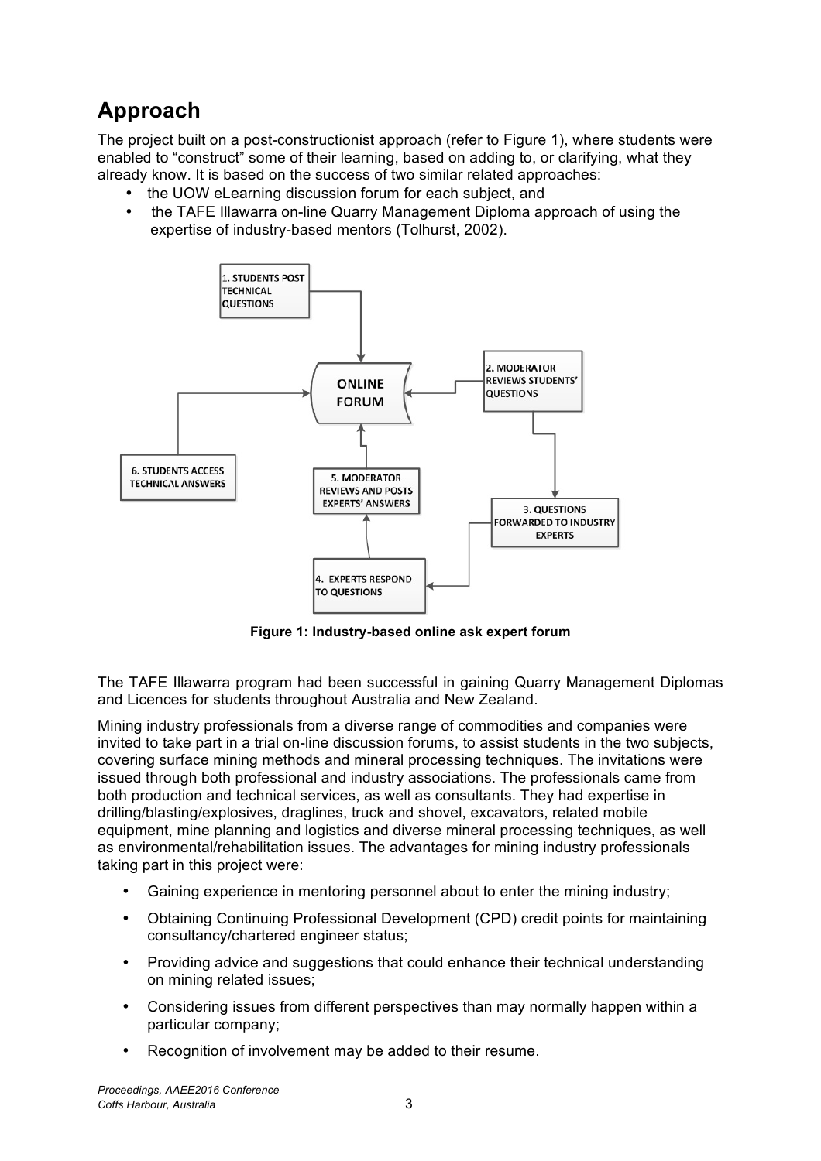# **Approach**

The project built on a post-constructionist approach (refer to Figure 1), where students were enabled to "construct" some of their learning, based on adding to, or clarifying, what they already know. It is based on the success of two similar related approaches:

- the UOW eLearning discussion forum for each subject, and
- the TAFE Illawarra on-line Quarry Management Diploma approach of using the expertise of industry-based mentors (Tolhurst, 2002).



**Figure 1: Industry-based online ask expert forum**

The TAFE Illawarra program had been successful in gaining Quarry Management Diplomas and Licences for students throughout Australia and New Zealand.

Mining industry professionals from a diverse range of commodities and companies were invited to take part in a trial on-line discussion forums, to assist students in the two subjects, covering surface mining methods and mineral processing techniques. The invitations were issued through both professional and industry associations. The professionals came from both production and technical services, as well as consultants. They had expertise in drilling/blasting/explosives, draglines, truck and shovel, excavators, related mobile equipment, mine planning and logistics and diverse mineral processing techniques, as well as environmental/rehabilitation issues. The advantages for mining industry professionals taking part in this project were:

- Gaining experience in mentoring personnel about to enter the mining industry;
- Obtaining Continuing Professional Development (CPD) credit points for maintaining consultancy/chartered engineer status;
- Providing advice and suggestions that could enhance their technical understanding on mining related issues;
- Considering issues from different perspectives than may normally happen within a particular company;
- Recognition of involvement may be added to their resume.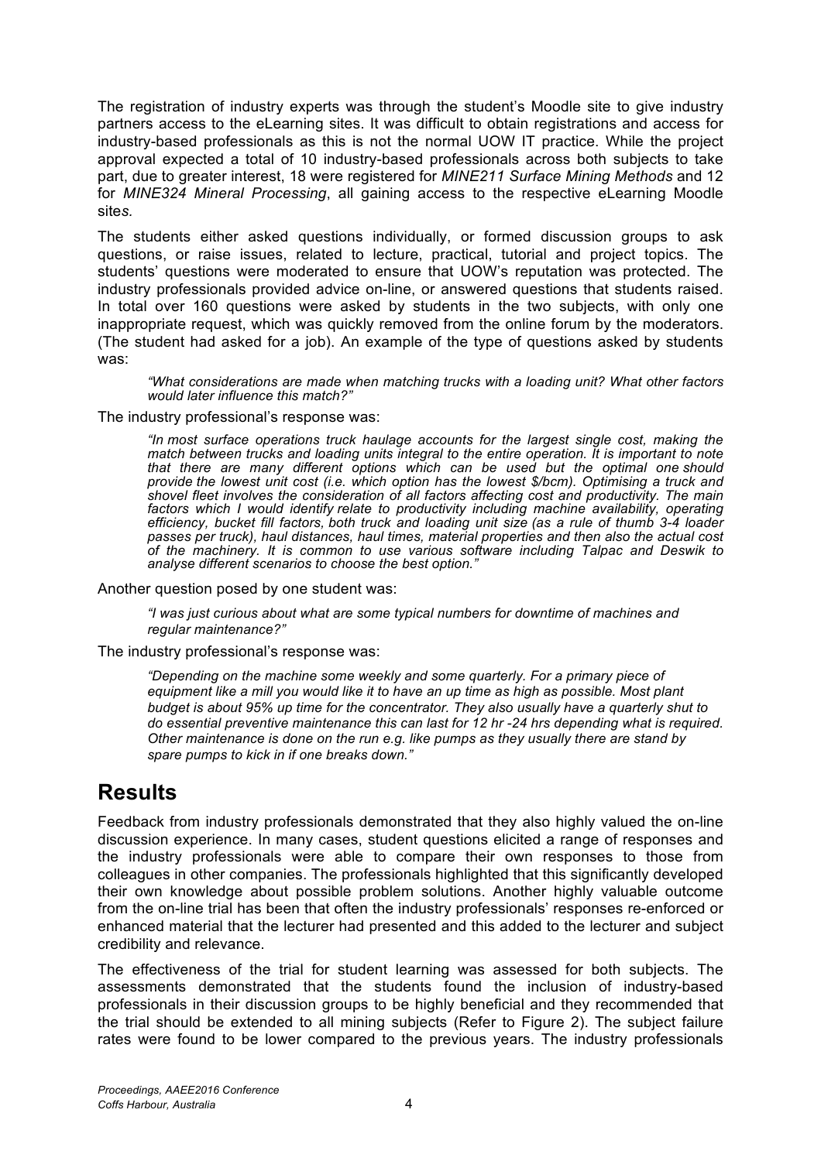The registration of industry experts was through the student's Moodle site to give industry partners access to the eLearning sites. It was difficult to obtain registrations and access for industry-based professionals as this is not the normal UOW IT practice. While the project approval expected a total of 10 industry-based professionals across both subjects to take part, due to greater interest, 18 were registered for *MINE211 Surface Mining Methods* and 12 for *MINE324 Mineral Processing*, all gaining access to the respective eLearning Moodle site*s.*

The students either asked questions individually, or formed discussion groups to ask questions, or raise issues, related to lecture, practical, tutorial and project topics. The students' questions were moderated to ensure that UOW's reputation was protected. The industry professionals provided advice on-line, or answered questions that students raised. In total over 160 questions were asked by students in the two subjects, with only one inappropriate request, which was quickly removed from the online forum by the moderators. (The student had asked for a job). An example of the type of questions asked by students was:

*"What considerations are made when matching trucks with a loading unit? What other factors would later influence this match?"*

The industry professional's response was:

*"In most surface operations truck haulage accounts for the largest single cost, making the match between trucks and loading units integral to the entire operation. It is important to note that there are many different options which can be used but the optimal one should provide the lowest unit cost (i.e. which option has the lowest \$/bcm). Optimising a truck and shovel fleet involves the consideration of all factors affecting cost and productivity. The main factors which I would identify relate to productivity including machine availability, operating efficiency, bucket fill factors, both truck and loading unit size (as a rule of thumb 3-4 loader passes per truck), haul distances, haul times, material properties and then also the actual cost of the machinery. It is common to use various software including Talpac and Deswik to analyse different scenarios to choose the best option."*

Another question posed by one student was:

*"I was just curious about what are some typical numbers for downtime of machines and regular maintenance?"*

The industry professional's response was:

*"Depending on the machine some weekly and some quarterly. For a primary piece of equipment like a mill you would like it to have an up time as high as possible. Most plant budget is about 95% up time for the concentrator. They also usually have a quarterly shut to do essential preventive maintenance this can last for 12 hr -24 hrs depending what is required. Other maintenance is done on the run e.g. like pumps as they usually there are stand by spare pumps to kick in if one breaks down."*

### **Results**

Feedback from industry professionals demonstrated that they also highly valued the on-line discussion experience. In many cases, student questions elicited a range of responses and the industry professionals were able to compare their own responses to those from colleagues in other companies. The professionals highlighted that this significantly developed their own knowledge about possible problem solutions. Another highly valuable outcome from the on-line trial has been that often the industry professionals' responses re-enforced or enhanced material that the lecturer had presented and this added to the lecturer and subject credibility and relevance.

The effectiveness of the trial for student learning was assessed for both subjects. The assessments demonstrated that the students found the inclusion of industry-based professionals in their discussion groups to be highly beneficial and they recommended that the trial should be extended to all mining subjects (Refer to Figure 2). The subject failure rates were found to be lower compared to the previous years. The industry professionals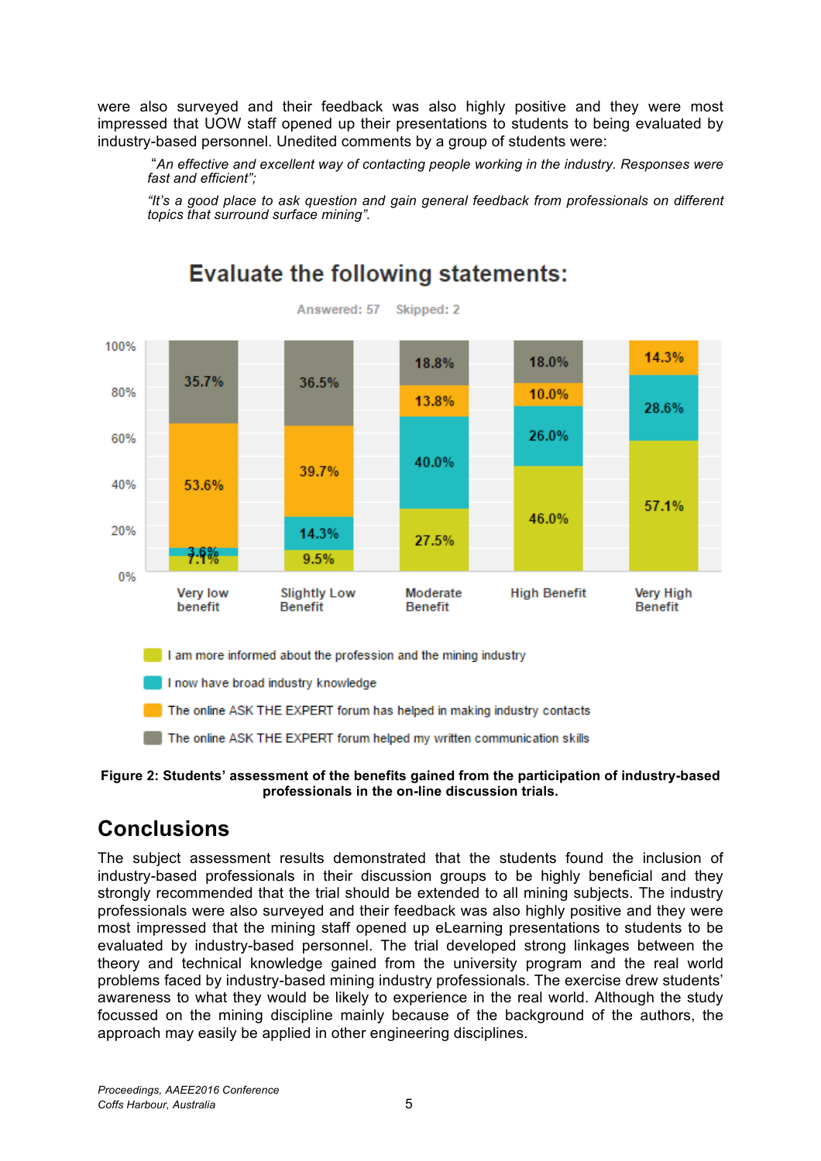were also surveyed and their feedback was also highly positive and they were most impressed that UOW staff opened up their presentations to students to being evaluated by industry-based personnel. Unedited comments by a group of students were:

"*An effective and excellent way of contacting people working in the industry. Responses were fast and efficient";* 

*"It's a good place to ask question and gain general feedback from professionals on different topics that surround surface mining".*



# **Evaluate the following statements:**

**Figure 2: Students' assessment of the benefits gained from the participation of industry-based professionals in the on-line discussion trials.**

## **Conclusions**

The subject assessment results demonstrated that the students found the inclusion of industry-based professionals in their discussion groups to be highly beneficial and they strongly recommended that the trial should be extended to all mining subjects. The industry professionals were also surveyed and their feedback was also highly positive and they were most impressed that the mining staff opened up eLearning presentations to students to be evaluated by industry-based personnel. The trial developed strong linkages between the theory and technical knowledge gained from the university program and the real world problems faced by industry-based mining industry professionals. The exercise drew students' awareness to what they would be likely to experience in the real world. Although the study focussed on the mining discipline mainly because of the background of the authors, the approach may easily be applied in other engineering disciplines.